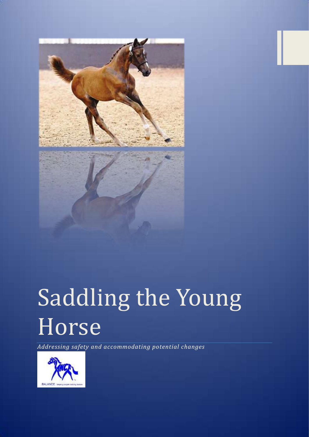

## Saddling the Young Horse

*Addressing safety and accommodating potential changes*

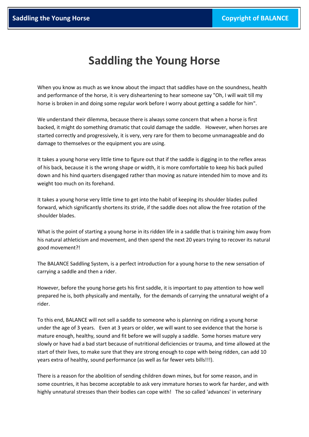## **Saddling the Young Horse**

When you know as much as we know about the impact that saddles have on the soundness, health and performance of the horse, it is very disheartening to hear someone say "Oh, I will wait till my horse is broken in and doing some regular work before I worry about getting a saddle for him".

We understand their dilemma, because there is always some concern that when a horse is first backed, it might do something dramatic that could damage the saddle. However, when horses are started correctly and progressively, it is very, very rare for them to become unmanageable and do damage to themselves or the equipment you are using.

It takes a young horse very little time to figure out that if the saddle is digging in to the reflex areas of his back, because it is the wrong shape or width, it is more comfortable to keep his back pulled down and his hind quarters disengaged rather than moving as nature intended him to move and its weight too much on its forehand.

It takes a young horse very little time to get into the habit of keeping its shoulder blades pulled forward, which significantly shortens its stride, if the saddle does not allow the free rotation of the shoulder blades.

What is the point of starting a young horse in its ridden life in a saddle that is training him away from his natural athleticism and movement, and then spend the next 20 years trying to recover its natural good movement?!

The BALANCE Saddling System, is a perfect introduction for a young horse to the new sensation of carrying a saddle and then a rider.

However, before the young horse gets his first saddle, it is important to pay attention to how well prepared he is, both physically and mentally, for the demands of carrying the unnatural weight of a rider.

To this end, BALANCE will not sell a saddle to someone who is planning on riding a young horse under the age of 3 years. Even at 3 years or older, we will want to see evidence that the horse is mature enough, healthy, sound and fit before we will supply a saddle. Some horses mature very slowly or have had a bad start because of nutritional deficiencies or trauma, and time allowed at the start of their lives, to make sure that they are strong enough to cope with being ridden, can add 10 years extra of healthy, sound performance (as well as far fewer vets bills!!!).

There is a reason for the abolition of sending children down mines, but for some reason, and in some countries, it has become acceptable to ask very immature horses to work far harder, and with highly unnatural stresses than their bodies can cope with! The so called 'advances' in veterinary